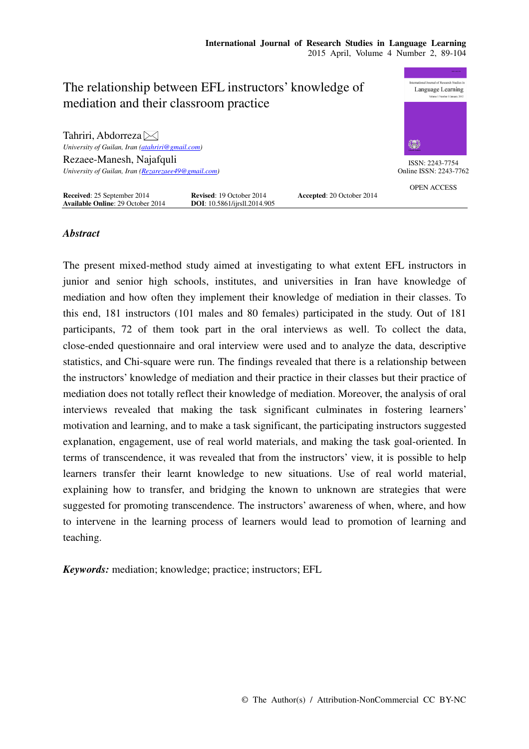| The relationship between EFL instructors' knowledge of<br>mediation and their classroom practice                                                                   |                                                                         |                           | <b>BANK PEAK PPG</b><br>International Journal of Research Studies in<br>Language Learning<br>Volume 1 Number 1 January 2012 |
|--------------------------------------------------------------------------------------------------------------------------------------------------------------------|-------------------------------------------------------------------------|---------------------------|-----------------------------------------------------------------------------------------------------------------------------|
| Tahriri, Abdorreza $\bowtie$<br>University of Guilan, Iran (atahriri@gmail.com)<br>Rezaee-Manesh, Najafquli<br>University of Guilan, Iran (Rezarezaee49@gmail.com) |                                                                         |                           | 纂<br>ISSN: 2243-7754<br>Online ISSN: 2243-7762                                                                              |
| Received: 25 September 2014<br><b>Available Online: 29 October 2014</b>                                                                                            | <b>Revised: 19 October 2014</b><br><b>DOI</b> : 10.5861/ijrsll.2014.905 | Accepted: 20 October 2014 | <b>OPEN ACCESS</b>                                                                                                          |

# *Abstract*

The present mixed-method study aimed at investigating to what extent EFL instructors in junior and senior high schools, institutes, and universities in Iran have knowledge of mediation and how often they implement their knowledge of mediation in their classes. To this end, 181 instructors (101 males and 80 females) participated in the study. Out of 181 participants, 72 of them took part in the oral interviews as well. To collect the data, close-ended questionnaire and oral interview were used and to analyze the data, descriptive statistics, and Chi-square were run. The findings revealed that there is a relationship between the instructors' knowledge of mediation and their practice in their classes but their practice of mediation does not totally reflect their knowledge of mediation. Moreover, the analysis of oral interviews revealed that making the task significant culminates in fostering learners' motivation and learning, and to make a task significant, the participating instructors suggested explanation, engagement, use of real world materials, and making the task goal-oriented. In terms of transcendence, it was revealed that from the instructors' view, it is possible to help learners transfer their learnt knowledge to new situations. Use of real world material, explaining how to transfer, and bridging the known to unknown are strategies that were suggested for promoting transcendence. The instructors' awareness of when, where, and how to intervene in the learning process of learners would lead to promotion of learning and teaching.

*Keywords:* mediation; knowledge; practice; instructors; EFL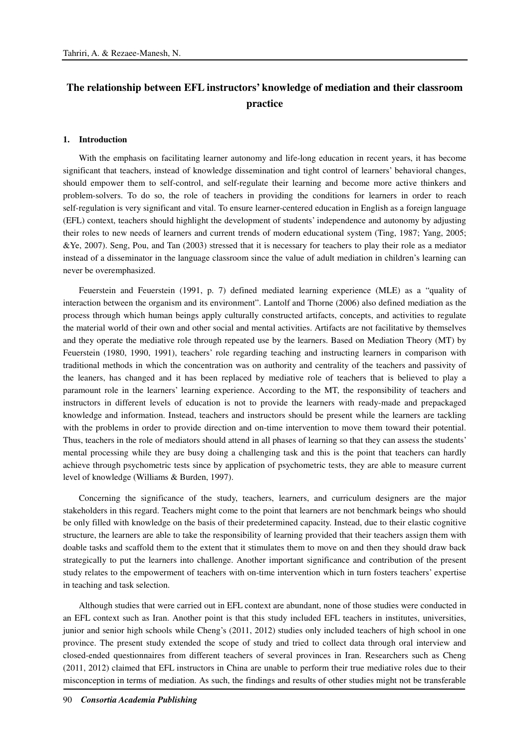# **The relationship between EFL instructors' knowledge of mediation and their classroom practice**

#### **1. Introduction**

With the emphasis on facilitating learner autonomy and life-long education in recent years, it has become significant that teachers, instead of knowledge dissemination and tight control of learners' behavioral changes, should empower them to self-control, and self-regulate their learning and become more active thinkers and problem-solvers. To do so, the role of teachers in providing the conditions for learners in order to reach self-regulation is very significant and vital. To ensure learner-centered education in English as a foreign language (EFL) context, teachers should highlight the development of students' independence and autonomy by adjusting their roles to new needs of learners and current trends of modern educational system (Ting, 1987; Yang, 2005; &Ye, 2007). Seng, Pou, and Tan (2003) stressed that it is necessary for teachers to play their role as a mediator instead of a disseminator in the language classroom since the value of adult mediation in children's learning can never be overemphasized.

Feuerstein and Feuerstein (1991, p. 7) defined mediated learning experience (MLE) as a "quality of interaction between the organism and its environment". Lantolf and Thorne (2006) also defined mediation as the process through which human beings apply culturally constructed artifacts, concepts, and activities to regulate the material world of their own and other social and mental activities. Artifacts are not facilitative by themselves and they operate the mediative role through repeated use by the learners. Based on Mediation Theory (MT) by Feuerstein (1980, 1990, 1991), teachers' role regarding teaching and instructing learners in comparison with traditional methods in which the concentration was on authority and centrality of the teachers and passivity of the leaners, has changed and it has been replaced by mediative role of teachers that is believed to play a paramount role in the learners' learning experience. According to the MT, the responsibility of teachers and instructors in different levels of education is not to provide the learners with ready-made and prepackaged knowledge and information. Instead, teachers and instructors should be present while the learners are tackling with the problems in order to provide direction and on-time intervention to move them toward their potential. Thus, teachers in the role of mediators should attend in all phases of learning so that they can assess the students' mental processing while they are busy doing a challenging task and this is the point that teachers can hardly achieve through psychometric tests since by application of psychometric tests, they are able to measure current level of knowledge (Williams & Burden, 1997).

Concerning the significance of the study, teachers, learners, and curriculum designers are the major stakeholders in this regard. Teachers might come to the point that learners are not benchmark beings who should be only filled with knowledge on the basis of their predetermined capacity. Instead, due to their elastic cognitive structure, the learners are able to take the responsibility of learning provided that their teachers assign them with doable tasks and scaffold them to the extent that it stimulates them to move on and then they should draw back strategically to put the learners into challenge. Another important significance and contribution of the present study relates to the empowerment of teachers with on-time intervention which in turn fosters teachers' expertise in teaching and task selection.

Although studies that were carried out in EFL context are abundant, none of those studies were conducted in an EFL context such as Iran. Another point is that this study included EFL teachers in institutes, universities, junior and senior high schools while Cheng's (2011, 2012) studies only included teachers of high school in one province. The present study extended the scope of study and tried to collect data through oral interview and closed-ended questionnaires from different teachers of several provinces in Iran. Researchers such as Cheng (2011, 2012) claimed that EFL instructors in China are unable to perform their true mediative roles due to their misconception in terms of mediation. As such, the findings and results of other studies might not be transferable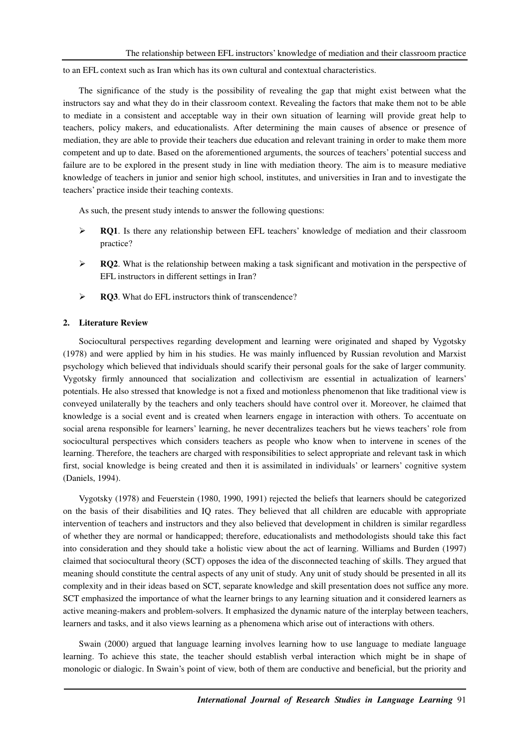to an EFL context such as Iran which has its own cultural and contextual characteristics.

The significance of the study is the possibility of revealing the gap that might exist between what the instructors say and what they do in their classroom context. Revealing the factors that make them not to be able to mediate in a consistent and acceptable way in their own situation of learning will provide great help to teachers, policy makers, and educationalists. After determining the main causes of absence or presence of mediation, they are able to provide their teachers due education and relevant training in order to make them more competent and up to date. Based on the aforementioned arguments, the sources of teachers' potential success and failure are to be explored in the present study in line with mediation theory. The aim is to measure mediative knowledge of teachers in junior and senior high school, institutes, and universities in Iran and to investigate the teachers' practice inside their teaching contexts.

As such, the present study intends to answer the following questions:

- **EQ1.** Is there any relationship between EFL teachers' knowledge of mediation and their classroom practice?
- $\triangleright$  **RQ2**. What is the relationship between making a task significant and motivation in the perspective of EFL instructors in different settings in Iran?
- **RQ3**. What do EFL instructors think of transcendence?

#### **2. Literature Review**

Sociocultural perspectives regarding development and learning were originated and shaped by Vygotsky (1978) and were applied by him in his studies. He was mainly influenced by Russian revolution and Marxist psychology which believed that individuals should scarify their personal goals for the sake of larger community. Vygotsky firmly announced that socialization and collectivism are essential in actualization of learners' potentials. He also stressed that knowledge is not a fixed and motionless phenomenon that like traditional view is conveyed unilaterally by the teachers and only teachers should have control over it. Moreover, he claimed that knowledge is a social event and is created when learners engage in interaction with others. To accentuate on social arena responsible for learners' learning, he never decentralizes teachers but he views teachers' role from sociocultural perspectives which considers teachers as people who know when to intervene in scenes of the learning. Therefore, the teachers are charged with responsibilities to select appropriate and relevant task in which first, social knowledge is being created and then it is assimilated in individuals' or learners' cognitive system (Daniels, 1994).

Vygotsky (1978) and Feuerstein (1980, 1990, 1991) rejected the beliefs that learners should be categorized on the basis of their disabilities and IQ rates. They believed that all children are educable with appropriate intervention of teachers and instructors and they also believed that development in children is similar regardless of whether they are normal or handicapped; therefore, educationalists and methodologists should take this fact into consideration and they should take a holistic view about the act of learning. Williams and Burden (1997) claimed that sociocultural theory (SCT) opposes the idea of the disconnected teaching of skills. They argued that meaning should constitute the central aspects of any unit of study. Any unit of study should be presented in all its complexity and in their ideas based on SCT, separate knowledge and skill presentation does not suffice any more. SCT emphasized the importance of what the learner brings to any learning situation and it considered learners as active meaning-makers and problem-solvers. It emphasized the dynamic nature of the interplay between teachers, learners and tasks, and it also views learning as a phenomena which arise out of interactions with others.

Swain (2000) argued that language learning involves learning how to use language to mediate language learning. To achieve this state, the teacher should establish verbal interaction which might be in shape of monologic or dialogic. In Swain's point of view, both of them are conductive and beneficial, but the priority and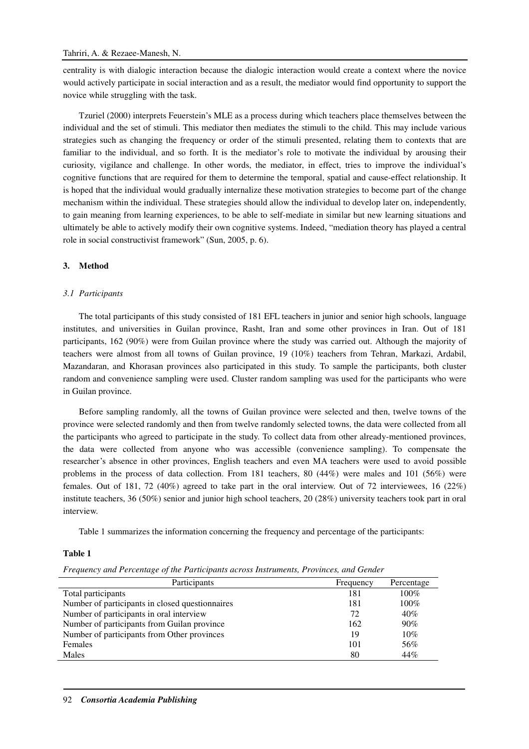centrality is with dialogic interaction because the dialogic interaction would create a context where the novice would actively participate in social interaction and as a result, the mediator would find opportunity to support the novice while struggling with the task.

Tzuriel (2000) interprets Feuerstein's MLE as a process during which teachers place themselves between the individual and the set of stimuli. This mediator then mediates the stimuli to the child. This may include various strategies such as changing the frequency or order of the stimuli presented, relating them to contexts that are familiar to the individual, and so forth. It is the mediator's role to motivate the individual by arousing their curiosity, vigilance and challenge. In other words, the mediator, in effect, tries to improve the individual's cognitive functions that are required for them to determine the temporal, spatial and cause-effect relationship. It is hoped that the individual would gradually internalize these motivation strategies to become part of the change mechanism within the individual. These strategies should allow the individual to develop later on, independently, to gain meaning from learning experiences, to be able to self-mediate in similar but new learning situations and ultimately be able to actively modify their own cognitive systems. Indeed, "mediation theory has played a central role in social constructivist framework" (Sun, 2005, p. 6).

# **3. Method**

# *3.1 Participants*

The total participants of this study consisted of 181 EFL teachers in junior and senior high schools, language institutes, and universities in Guilan province, Rasht, Iran and some other provinces in Iran. Out of 181 participants, 162 (90%) were from Guilan province where the study was carried out. Although the majority of teachers were almost from all towns of Guilan province, 19 (10%) teachers from Tehran, Markazi, Ardabil, Mazandaran, and Khorasan provinces also participated in this study. To sample the participants, both cluster random and convenience sampling were used. Cluster random sampling was used for the participants who were in Guilan province.

Before sampling randomly, all the towns of Guilan province were selected and then, twelve towns of the province were selected randomly and then from twelve randomly selected towns, the data were collected from all the participants who agreed to participate in the study. To collect data from other already-mentioned provinces, the data were collected from anyone who was accessible (convenience sampling). To compensate the researcher's absence in other provinces, English teachers and even MA teachers were used to avoid possible problems in the process of data collection. From 181 teachers, 80 (44%) were males and 101 (56%) were females. Out of 181, 72 (40%) agreed to take part in the oral interview. Out of 72 interviewees, 16 (22%) institute teachers, 36 (50%) senior and junior high school teachers, 20 (28%) university teachers took part in oral interview.

Table 1 summarizes the information concerning the frequency and percentage of the participants:

# **Table 1**

*Frequency and Percentage of the Participants across Instruments, Provinces, and Gender* 

| Participants                                    | Frequency | Percentage |
|-------------------------------------------------|-----------|------------|
| Total participants                              | 181       | 100%       |
| Number of participants in closed questionnaires | 181       | $100\%$    |
| Number of participants in oral interview        | 72        | 40%        |
| Number of participants from Guilan province     | 162       | 90%        |
| Number of participants from Other provinces     | 19        | 10%        |
| Females                                         | 101       | 56%        |
| Males                                           | 80        | 44%        |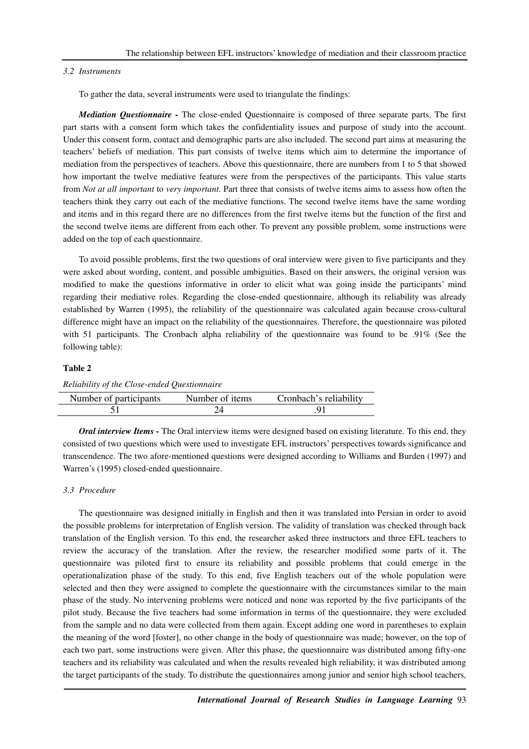#### *3.2 Instruments*

To gather the data, several instruments were used to triangulate the findings:

*Mediation Questionnaire -* The close-ended Questionnaire is composed of three separate parts. The first part starts with a consent form which takes the confidentiality issues and purpose of study into the account. Under this consent form, contact and demographic parts are also included. The second part aims at measuring the teachers' beliefs of mediation. This part consists of twelve items which aim to determine the importance of mediation from the perspectives of teachers. Above this questionnaire, there are numbers from 1 to 5 that showed how important the twelve mediative features were from the perspectives of the participants. This value starts from *Not at all important* to *very important*. Part three that consists of twelve items aims to assess how often the teachers think they carry out each of the mediative functions. The second twelve items have the same wording and items and in this regard there are no differences from the first twelve items but the function of the first and the second twelve items are different from each other. To prevent any possible problem, some instructions were added on the top of each questionnaire.

To avoid possible problems, first the two questions of oral interview were given to five participants and they were asked about wording, content, and possible ambiguities. Based on their answers, the original version was modified to make the questions informative in order to elicit what was going inside the participants' mind regarding their mediative roles. Regarding the close-ended questionnaire, although its reliability was already established by Warren (1995), the reliability of the questionnaire was calculated again because cross-cultural difference might have an impact on the reliability of the questionnaires. Therefore, the questionnaire was piloted with 51 participants. The Cronbach alpha reliability of the questionnaire was found to be .91% (See the following table):

## **Table 2**

| Reliability of the Close-ended Questionnaire |  |  |
|----------------------------------------------|--|--|
|----------------------------------------------|--|--|

| Number of participants | Number of items | Cronbach's reliability |
|------------------------|-----------------|------------------------|
|                        |                 |                        |

*Oral interview Items -* The Oral interview items were designed based on existing literature. To this end, they consisted of two questions which were used to investigate EFL instructors' perspectives towards significance and transcendence. The two afore-mentioned questions were designed according to Williams and Burden (1997) and Warren's (1995) closed-ended questionnaire.

## *3.3 Procedure*

The questionnaire was designed initially in English and then it was translated into Persian in order to avoid the possible problems for interpretation of English version. The validity of translation was checked through back translation of the English version. To this end, the researcher asked three instructors and three EFL teachers to review the accuracy of the translation. After the review, the researcher modified some parts of it. The questionnaire was piloted first to ensure its reliability and possible problems that could emerge in the operationalization phase of the study. To this end, five English teachers out of the whole population were selected and then they were assigned to complete the questionnaire with the circumstances similar to the main phase of the study. No intervening problems were noticed and none was reported by the five participants of the pilot study. Because the five teachers had some information in terms of the questionnaire, they were excluded from the sample and no data were collected from them again. Except adding one word in parentheses to explain the meaning of the word [foster], no other change in the body of questionnaire was made; however, on the top of each two part, some instructions were given. After this phase, the questionnaire was distributed among fifty-one teachers and its reliability was calculated and when the results revealed high reliability, it was distributed among the target participants of the study. To distribute the questionnaires among junior and senior high school teachers,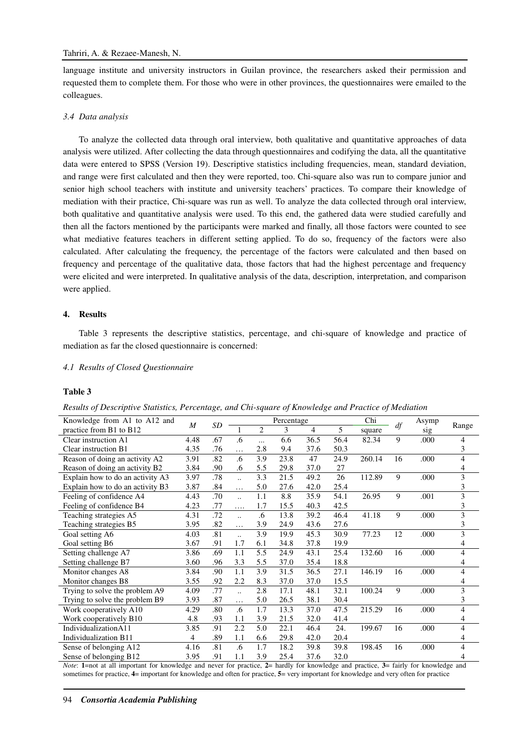language institute and university instructors in Guilan province, the researchers asked their permission and requested them to complete them. For those who were in other provinces, the questionnaires were emailed to the colleagues.

## *3.4 Data analysis*

To analyze the collected data through oral interview, both qualitative and quantitative approaches of data analysis were utilized. After collecting the data through questionnaires and codifying the data, all the quantitative data were entered to SPSS (Version 19). Descriptive statistics including frequencies, mean, standard deviation, and range were first calculated and then they were reported, too. Chi-square also was run to compare junior and senior high school teachers with institute and university teachers' practices. To compare their knowledge of mediation with their practice, Chi-square was run as well. To analyze the data collected through oral interview, both qualitative and quantitative analysis were used. To this end, the gathered data were studied carefully and then all the factors mentioned by the participants were marked and finally, all those factors were counted to see what mediative features teachers in different setting applied. To do so, frequency of the factors were also calculated. After calculating the frequency, the percentage of the factors were calculated and then based on frequency and percentage of the qualitative data, those factors that had the highest percentage and frequency were elicited and were interpreted. In qualitative analysis of the data, description, interpretation, and comparison were applied.

#### **4. Results**

Table 3 represents the descriptive statistics, percentage, and chi-square of knowledge and practice of mediation as far the closed questionnaire is concerned:

#### *4.1 Results of Closed Questionnaire*

#### **Table 3**

*Results of Descriptive Statistics, Percentage, and Chi-square of Knowledge and Practice of Mediation* 

|      |                  |                      |                |      |                |            | Chi    |    | Asymp |                |
|------|------------------|----------------------|----------------|------|----------------|------------|--------|----|-------|----------------|
|      |                  |                      | $\overline{2}$ | 3    | $\overline{4}$ | 5          | square |    | sig   | Range          |
| 4.48 | .67              | .6                   | $\cdots$       | 6.6  | 36.5           | 56.4       | 82.34  | 9  | .000  | 4              |
| 4.35 | .76              | .                    | 2.8            | 9.4  | 37.6           | 50.3       |        |    |       | 3              |
| 3.91 | .82              | .6                   | 3.9            | 23.8 | 47             | 24.9       | 260.14 | 16 | .000  | 4              |
| 3.84 | .90              | .6                   | 5.5            | 29.8 | 37.0           | 27         |        |    |       | 4              |
| 3.97 | .78              | $\ddot{\cdot}$       | 3.3            | 21.5 | 49.2           | 26         | 112.89 | 9  | .000  | 3              |
| 3.87 | .84              | .                    | 5.0            | 27.6 | 42.0           | 25.4       |        |    |       | 3              |
| 4.43 | .70              | $\ddot{\phantom{a}}$ | 1.1            | 8.8  | 35.9           | 54.1       | 26.95  | 9  | .001  | 3              |
| 4.23 | .77              | $\cdots$             | 1.7            | 15.5 | 40.3           | 42.5       |        |    |       | 3              |
| 4.31 | .72              | $\ddotsc$            | .6             | 13.8 | 39.2           | 46.4       | 41.18  | 9  | .000  | 3              |
| 3.95 | .82              | .                    | 3.9            | 24.9 | 43.6           | 27.6       |        |    |       | 3              |
| 4.03 | .81              | $\ddot{\phantom{a}}$ | 3.9            | 19.9 | 45.3           | 30.9       | 77.23  | 12 | .000  | 3              |
| 3.67 | .91              | 1.7                  | 6.1            | 34.8 | 37.8           | 19.9       |        |    |       | 4              |
| 3.86 | .69              | 1.1                  | 5.5            | 24.9 | 43.1           | 25.4       | 132.60 | 16 | .000  | $\overline{4}$ |
| 3.60 | .96              | 3.3                  | 5.5            | 37.0 | 35.4           | 18.8       |        |    |       | 4              |
| 3.84 | .90              | 1.1                  | 3.9            | 31.5 | 36.5           | 27.1       | 146.19 | 16 | .000  | 4              |
| 3.55 | .92              | 2.2                  | 8.3            | 37.0 | 37.0           | 15.5       |        |    |       | 4              |
| 4.09 | .77              | $\ddot{\phantom{a}}$ | 2.8            | 17.1 | 48.1           | 32.1       | 100.24 | 9  | .000  | $\overline{3}$ |
| 3.93 | .87              | $\ddotsc$            | 5.0            | 26.5 | 38.1           | 30.4       |        |    |       | 3              |
| 4.29 | .80              | .6                   | 1.7            | 13.3 | 37.0           | 47.5       | 215.29 | 16 | .000  | $\overline{4}$ |
| 4.8  | .93              | 1.1                  | 3.9            | 21.5 | 32.0           | 41.4       |        |    |       | 4              |
| 3.85 | .91              | 2.2                  | 5.0            | 22.1 | 46.4           | 24.        | 199.67 | 16 | .000  | 4              |
| 4    | .89              | 1.1                  | 6.6            | 29.8 | 42.0           | 20.4       |        |    |       | 4              |
| 4.16 | .81              | .6                   | 1.7            | 18.2 | 39.8           | 39.8       | 198.45 | 16 | .000  | 4              |
| 3.95 | .91              | 1.1                  | 3.9            | 25.4 | 37.6           | 32.0       |        |    |       | 4              |
|      | $\boldsymbol{M}$ | SD                   |                |      |                | Percentage |        |    | df    |                |

*Note*: **1**=not at all important for knowledge and never for practice, **2**= hardly for knowledge and practice, **3**= fairly for knowledge and sometimes for practice, **4**= important for knowledge and often for practice, **5**= very important for knowledge and very often for practice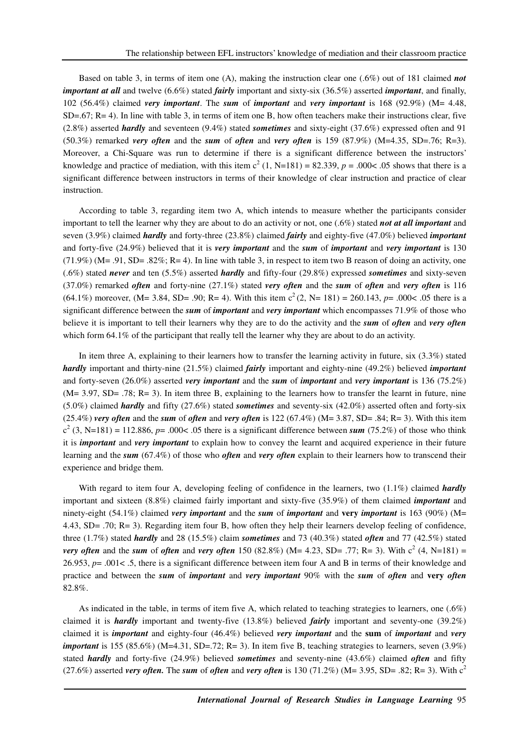Based on table 3, in terms of item one (A), making the instruction clear one (.6%) out of 181 claimed *not important at all* and twelve (6.6%) stated *fairly* important and sixty-six (36.5%) asserted *important*, and finally, 102 (56.4%) claimed *very important*. The *sum* of *important* and *very important* is 168 (92.9%) (M= 4.48,  $SD=.67$ ; R= 4). In line with table 3, in terms of item one B, how often teachers make their instructions clear, five (2.8%) asserted *hardly* and seventeen (9.4%) stated *sometimes* and sixty-eight (37.6%) expressed often and 91  $(50.3\%)$  remarked *very often* and the *sum* of *often* and *very often* is 159  $(87.9\%)$   $(M=4.35, SD=.76; R=3)$ . Moreover, a Chi-Square was run to determine if there is a significant difference between the instructors' knowledge and practice of mediation, with this item  $c^2$  (1, N=181) = 82.339,  $p = .000 < .05$  shows that there is a significant difference between instructors in terms of their knowledge of clear instruction and practice of clear instruction.

According to table 3, regarding item two A, which intends to measure whether the participants consider important to tell the learner why they are about to do an activity or not, one (.6%) stated *not at all important* and seven (3.9%) claimed *hardly* and forty-three (23.8%) claimed *fairly* and eighty-five (47.0%) believed *important* and forty-five (24.9%) believed that it is *very important* and the *sum* of *important* and *very important* is 130  $(71.9\%)$  (M= .91, SD= .82%; R= 4). In line with table 3, in respect to item two B reason of doing an activity, one (.6%) stated *never* and ten (5.5%) asserted *hardly* and fifty-four (29.8%) expressed *sometimes* and sixty-seven (37.0%) remarked *often* and forty-nine (27.1%) stated *very often* and the *sum* of *often* and *very often* is 116 (64.1%) moreover, (M= 3.84, SD= .90; R= 4). With this item  $c^2$  (2, N= 181) = 260.143, *p*= .000< .05 there is a significant difference between the *sum* of *important* and *very important* which encompasses 71.9% of those who believe it is important to tell their learners why they are to do the activity and the *sum* of *often* and *very often* which form 64.1% of the participant that really tell the learner why they are about to do an activity.

In item three A, explaining to their learners how to transfer the learning activity in future, six (3.3%) stated *hardly* important and thirty-nine (21.5%) claimed *fairly* important and eighty-nine (49.2%) believed *important* and forty-seven (26.0%) asserted *very important* and the *sum* of *important* and *very important* is 136 (75.2%)  $(M= 3.97, SD= .78; R= 3)$ . In item three B, explaining to the learners how to transfer the learnt in future, nine (5.0%) claimed *hardly* and fifty (27.6%) stated *sometimes* and seventy-six (42.0%) asserted often and forty-six (25.4%) *very often* and the *sum* of *often* and *very often* is 122 (67.4%) (M= 3.87, SD= .84; R= 3). With this item  $c<sup>2</sup>$  (3, N=181) = 112.886, p= .000< .05 there is a significant difference between *sum* (75.2%) of those who think it is *important* and *very important* to explain how to convey the learnt and acquired experience in their future learning and the *sum* (67.4%) of those who *often* and *very often* explain to their learners how to transcend their experience and bridge them.

With regard to item four A, developing feeling of confidence in the learners, two  $(1.1\%)$  claimed *hardly* important and sixteen (8.8%) claimed fairly important and sixty-five (35.9%) of them claimed *important* and ninety-eight (54.1%) claimed *very important* and the *sum* of *important* and **very** *important* is 163 (90%) (M= 4.43, SD= .70; R= 3). Regarding item four B, how often they help their learners develop feeling of confidence, three (1.7%) stated *hardly* and 28 (15.5%) claim *sometimes* and 73 (40.3%) stated *often* and 77 (42.5%) stated *very often* and the *sum* of *often* and *very often* 150 (82.8%) (M= 4.23, SD= .77; R= 3). With  $c^2$  (4, N=181) = 26.953, *p*= .001< .5, there is a significant difference between item four A and B in terms of their knowledge and practice and between the *sum* of *important* and *very important* 90% with the *sum* of *often* and **very** *often* 82.8%.

As indicated in the table, in terms of item five A, which related to teaching strategies to learners, one (.6%) claimed it is *hardly* important and twenty-five (13.8%) believed *fairly* important and seventy-one (39.2%) claimed it is *important* and eighty-four (46.4%) believed *very important* and the **sum** of *important* and *very important* is 155 (85.6%) (M=4.31, SD=.72; R= 3). In item five B, teaching strategies to learners, seven (3.9%) stated *hardly* and forty-five (24.9%) believed *sometimes* and seventy-nine (43.6%) claimed *often* and fifty (27.6%) asserted *very often*. The *sum* of *often* and *very often* is 130 (71.2%) (M= 3.95, SD= .82; R= 3). With  $c^2$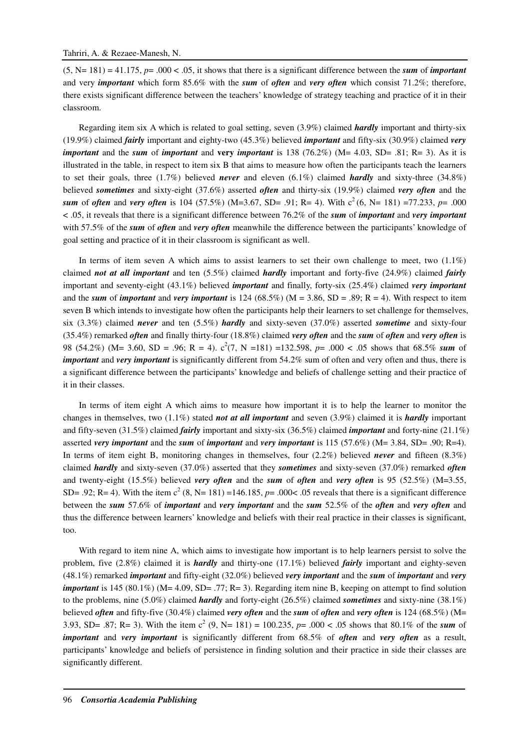$(5, N=181) = 41.175$ ,  $p= .000 < .05$ , it shows that there is a significant difference between the *sum* of *important* and very *important* which form 85.6% with the *sum* of *often* and *very often* which consist 71.2%; therefore, there exists significant difference between the teachers' knowledge of strategy teaching and practice of it in their classroom.

Regarding item six A which is related to goal setting, seven (3.9%) claimed *hardly* important and thirty-six (19.9%) claimed *fairly* important and eighty-two (45.3%) believed *important* and fifty-six (30.9%) claimed *very important* and the *sum* of *important* and **very** *important* is 138 (76.2%) (M= 4.03, SD= .81; R= 3). As it is illustrated in the table, in respect to item six B that aims to measure how often the participants teach the learners to set their goals, three (1.7%) believed *never* and eleven (6.1%) claimed *hardly* and sixty-three (34.8%) believed *sometimes* and sixty-eight (37.6%) asserted *often* and thirty-six (19.9%) claimed *very often* and the *sum* of *often* and *very often* is 104 (57.5%) (M=3.67, SD= .91; R= 4). With  $c^2$  (6, N= 181) =77.233, p= .000 < .05, it reveals that there is a significant difference between 76.2% of the *sum* of *important* and *very important* with 57.5% of the *sum* of *often* and *very often* meanwhile the difference between the participants' knowledge of goal setting and practice of it in their classroom is significant as well.

In terms of item seven A which aims to assist learners to set their own challenge to meet, two (1.1%) claimed *not at all important* and ten (5.5%) claimed *hardly* important and forty-five (24.9%) claimed *fairly* important and seventy-eight (43.1%) believed *important* and finally, forty-six (25.4%) claimed *very important* and the *sum* of *important* and *very important* is 124 (68.5%) ( $M = 3.86$ ,  $SD = .89$ ;  $R = 4$ ). With respect to item seven B which intends to investigate how often the participants help their learners to set challenge for themselves, six (3.3%) claimed *never* and ten (5.5%) *hardly* and sixty-seven (37.0%) asserted *sometime* and sixty-four (35.4%) remarked *often* and finally thirty-four (18.8%) claimed *very often* and the *sum* of *often* and *very often* is 98 (54.2%) (M= 3.60, SD = .96; R = 4).  $c^2(7, N = 181) = 132.598$ ,  $p = .000 < .05$  shows that 68.5% sum of *important* and *very important* is significantly different from 54.2% sum of often and very often and thus, there is a significant difference between the participants' knowledge and beliefs of challenge setting and their practice of it in their classes.

In terms of item eight A which aims to measure how important it is to help the learner to monitor the changes in themselves, two (1.1%) stated *not at all important* and seven (3.9%) claimed it is *hardly* important and fifty-seven (31.5%) claimed *fairly* important and sixty-six (36.5%) claimed *important* and forty-nine (21.1%) asserted *very important* and the *sum* of *important* and *very important* is 115 (57.6%) (M= 3.84, SD= .90; R=4). In terms of item eight B, monitoring changes in themselves, four (2.2%) believed *never* and fifteen (8.3%) claimed *hardly* and sixty-seven (37.0%) asserted that they *sometimes* and sixty-seven (37.0%) remarked *often* and twenty-eight (15.5%) believed *very often* and the *sum* of *often* and *very often* is 95 (52.5%) (M=3.55, SD= .92; R= 4). With the item  $c^2$  (8, N= 181) =146.185,  $p=$  .000< .05 reveals that there is a significant difference between the *sum* 57.6% of *important* and *very important* and the *sum* 52.5% of the *often* and *very often* and thus the difference between learners' knowledge and beliefs with their real practice in their classes is significant, too.

With regard to item nine A, which aims to investigate how important is to help learners persist to solve the problem, five (2.8%) claimed it is *hardly* and thirty-one (17.1%) believed *fairly* important and eighty-seven (48.1%) remarked *important* and fifty-eight (32.0%) believed *very important* and the *sum* of *important* and *very important* is 145 (80.1%) (M= 4.09, SD= .77; R= 3). Regarding item nine B, keeping on attempt to find solution to the problems, nine (5.0%) claimed *hardly* and forty-eight (26.5%) claimed *sometimes* and sixty-nine (38.1%) believed *often* and fifty-five (30.4%) claimed *very often* and the *sum* of *often* and *very often* is 124 (68.5%) (M= 3.93, SD= .87; R= 3). With the item  $c^2$  (9, N= 181) = 100.235, p= .000 < .05 shows that 80.1% of the *sum* of *important* and *very important* is significantly different from 68.5% of *often* and *very often* as a result, participants' knowledge and beliefs of persistence in finding solution and their practice in side their classes are significantly different.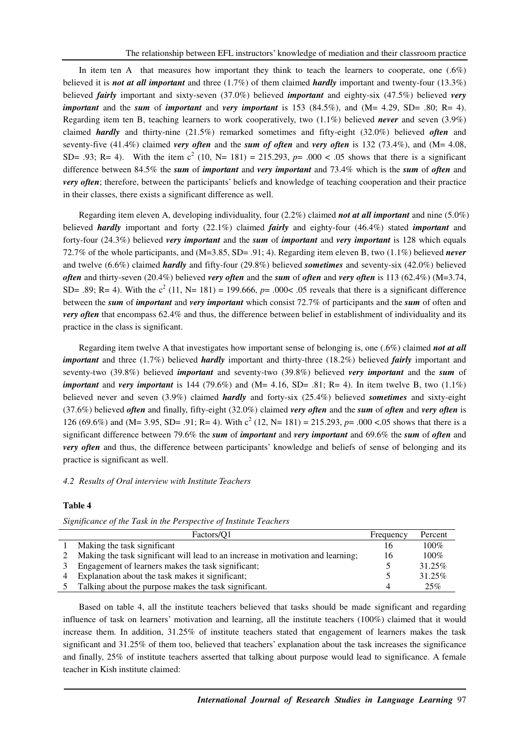In item ten A that measures how important they think to teach the learners to cooperate, one  $(.6%)$ believed it is *not at all important* and three (1.7%) of them claimed *hardly* important and twenty-four (13.3%) believed *fairly* important and sixty-seven (37.0%) believed *important* and eighty-six (47.5%) believed *very important* and the *sum* of *important* and *very important* is 153 (84.5%), and ( $M = 4.29$ , SD= .80; R= 4). Regarding item ten B, teaching learners to work cooperatively, two (1.1%) believed *never* and seven (3.9%) claimed *hardly* and thirty-nine (21.5%) remarked sometimes and fifty-eight (32.0%) believed *often* and seventy-five (41.4%) claimed *very often* and the *sum of often* and *very often* is 132 (73.4%), and (M= 4.08, SD= .93; R= 4). With the item  $c^2$  (10, N= 181) = 215.293,  $p= .000 < .05$  shows that there is a significant difference between 84.5% the *sum* of *important* and *very important* and 73.4% which is the *sum* of *often* and *very often*; therefore, between the participants' beliefs and knowledge of teaching cooperation and their practice in their classes, there exists a significant difference as well.

Regarding item eleven A, developing individuality, four (2.2%) claimed *not at all important* and nine (5.0%) believed *hardly* important and forty (22.1%) claimed *fairly* and eighty-four (46.4%) stated *important* and forty-four (24.3%) believed *very important* and the *sum* of *important* and *very important* is 128 which equals 72.7% of the whole participants, and (M=3.85, SD= .91; 4). Regarding item eleven B, two (1.1%) believed *never* and twelve (6.6%) claimed *hardly* and fifty-four (29.8%) believed *sometimes* and seventy-six (42.0%) believed *often* and thirty-seven (20.4%) believed *very often* and the *sum* of *often* and *very often* is 113 (62.4%) (M=3.74, SD= .89; R= 4). With the  $c^2$  (11, N= 181) = 199.666,  $p=$  .000< .05 reveals that there is a significant difference between the *sum* of *important* and *very important* which consist 72.7% of participants and the *sum* of often and *very often* that encompass 62.4% and thus, the difference between belief in establishment of individuality and its practice in the class is significant.

Regarding item twelve A that investigates how important sense of belonging is, one (.6%) claimed *not at all important* and three (1.7%) believed *hardly* important and thirty-three (18.2%) believed *fairly* important and seventy-two (39.8%) believed *important* and seventy-two (39.8%) believed *very important* and the *sum* of *important* and *very important* is 144 (79.6%) and (M= 4.16, SD= .81; R= 4). In item twelve B, two (1.1%) believed never and seven (3.9%) claimed *hardly* and forty-six (25.4%) believed *sometimes* and sixty-eight (37.6%) believed *often* and finally, fifty-eight (32.0%) claimed *very often* and the *sum* of *often* and *very often* is 126 (69.6%) and (M= 3.95, SD= .91; R= 4). With  $c^2$  (12, N= 181) = 215.293, p= .000 <.05 shows that there is a significant difference between 79.6% the *sum* of *important* and *very important* and 69.6% the *sum* of *often* and *very often* and thus, the difference between participants' knowledge and beliefs of sense of belonging and its practice is significant as well.

## *4.2 Results of Oral interview with Institute Teachers*

## **Table 4**

| Factors/O1                                                                       | Frequency | Percent |
|----------------------------------------------------------------------------------|-----------|---------|
| Making the task significant                                                      | 16        | $100\%$ |
| Making the task significant will lead to an increase in motivation and learning; | 16        | $100\%$ |
| Engagement of learners makes the task significant;                               |           | 31.25%  |
| Explanation about the task makes it significant;                                 |           | 31.25%  |
| Talking about the purpose makes the task significant.                            |           | 25%     |

*Significance of the Task in the Perspective of Institute Teachers* 

Based on table 4, all the institute teachers believed that tasks should be made significant and regarding influence of task on learners' motivation and learning, all the institute teachers (100%) claimed that it would increase them. In addition, 31.25% of institute teachers stated that engagement of learners makes the task significant and 31.25% of them too, believed that teachers' explanation about the task increases the significance and finally, 25% of institute teachers asserted that talking about purpose would lead to significance. A female teacher in Kish institute claimed: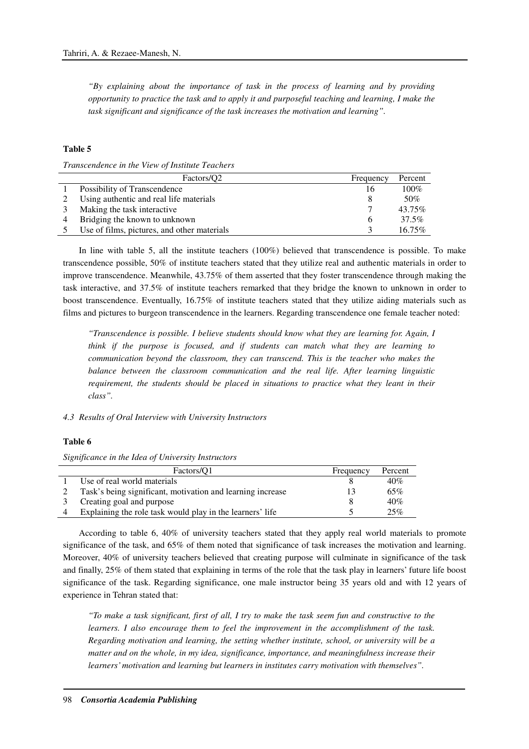*"By explaining about the importance of task in the process of learning and by providing opportunity to practice the task and to apply it and purposeful teaching and learning, I make the task significant and significance of the task increases the motivation and learning".* 

## **Table 5**

*Transcendence in the View of Institute Teachers* 

| Factors/O <sub>2</sub>                      | Frequency | Percent   |
|---------------------------------------------|-----------|-----------|
| Possibility of Transcendence                | 16        | $100\%$   |
| Using authentic and real life materials     |           | 50%       |
| Making the task interactive.                |           | 43.75%    |
| Bridging the known to unknown               | h         | 37.5%     |
| Use of films, pictures, and other materials |           | $16.75\%$ |

In line with table 5, all the institute teachers (100%) believed that transcendence is possible. To make transcendence possible, 50% of institute teachers stated that they utilize real and authentic materials in order to improve transcendence. Meanwhile, 43.75% of them asserted that they foster transcendence through making the task interactive, and 37.5% of institute teachers remarked that they bridge the known to unknown in order to boost transcendence. Eventually, 16.75% of institute teachers stated that they utilize aiding materials such as films and pictures to burgeon transcendence in the learners. Regarding transcendence one female teacher noted:

*"Transcendence is possible. I believe students should know what they are learning for. Again, I think if the purpose is focused, and if students can match what they are learning to communication beyond the classroom, they can transcend. This is the teacher who makes the balance between the classroom communication and the real life. After learning linguistic requirement, the students should be placed in situations to practice what they leant in their class".* 

## *4.3 Results of Oral Interview with University Instructors*

### **Table 6**

#### *Significance in the Idea of University Instructors*

| Factors/O1                                                 | Frequency | Percent |
|------------------------------------------------------------|-----------|---------|
| Use of real world materials                                |           | 40%     |
| Task's being significant, motivation and learning increase |           | 65%     |
| Creating goal and purpose                                  |           | 40%     |
| Explaining the role task would play in the learners' life  |           | 25%     |

According to table 6, 40% of university teachers stated that they apply real world materials to promote significance of the task, and 65% of them noted that significance of task increases the motivation and learning. Moreover, 40% of university teachers believed that creating purpose will culminate in significance of the task and finally, 25% of them stated that explaining in terms of the role that the task play in learners' future life boost significance of the task. Regarding significance, one male instructor being 35 years old and with 12 years of experience in Tehran stated that:

*"To make a task significant, first of all, I try to make the task seem fun and constructive to the learners. I also encourage them to feel the improvement in the accomplishment of the task. Regarding motivation and learning, the setting whether institute, school, or university will be a matter and on the whole, in my idea, significance, importance, and meaningfulness increase their learners' motivation and learning but learners in institutes carry motivation with themselves".*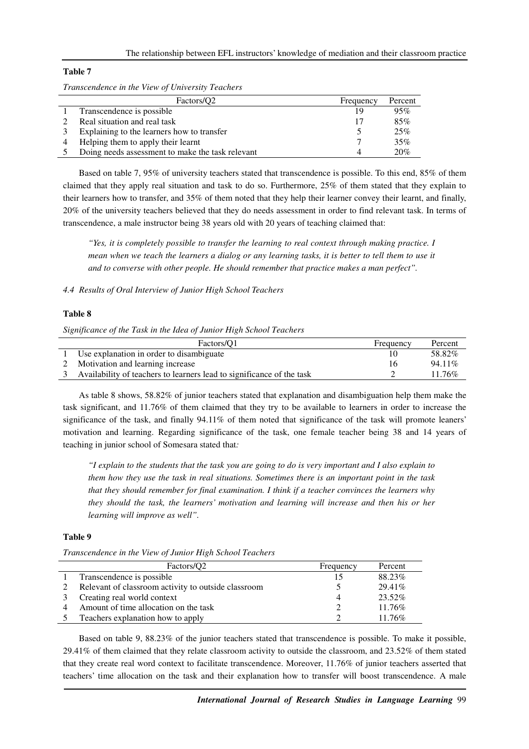## **Table 7**

*Transcendence in the View of University Teachers* 

| Factors/O <sub>2</sub>                           | Frequency | Percent |
|--------------------------------------------------|-----------|---------|
| Transcendence is possible.                       | 19        | 95%     |
| Real situation and real task                     | 17        | 85%     |
| Explaining to the learners how to transfer       |           | 25%     |
| Helping them to apply their learnt               |           | 35%     |
| Doing needs assessment to make the task relevant |           | 20%     |

Based on table 7, 95% of university teachers stated that transcendence is possible. To this end, 85% of them claimed that they apply real situation and task to do so. Furthermore, 25% of them stated that they explain to their learners how to transfer, and 35% of them noted that they help their learner convey their learnt, and finally, 20% of the university teachers believed that they do needs assessment in order to find relevant task. In terms of transcendence, a male instructor being 38 years old with 20 years of teaching claimed that:

*"Yes, it is completely possible to transfer the learning to real context through making practice. I mean when we teach the learners a dialog or any learning tasks, it is better to tell them to use it and to converse with other people. He should remember that practice makes a man perfect".* 

# *4.4 Results of Oral Interview of Junior High School Teachers*

### **Table 8**

*Significance of the Task in the Idea of Junior High School Teachers* 

| Factors/O1                                                            | Frequency | Percent |
|-----------------------------------------------------------------------|-----------|---------|
| Use explanation in order to disambiguate                              |           | 58.82%  |
| Motivation and learning increase                                      | 16        | 94.11\% |
| Availability of teachers to learners lead to significance of the task |           | 11.76%  |

As table 8 shows, 58.82% of junior teachers stated that explanation and disambiguation help them make the task significant, and 11.76% of them claimed that they try to be available to learners in order to increase the significance of the task, and finally 94.11% of them noted that significance of the task will promote leaners' motivation and learning. Regarding significance of the task, one female teacher being 38 and 14 years of teaching in junior school of Somesara stated that*:* 

*"I explain to the students that the task you are going to do is very important and I also explain to them how they use the task in real situations. Sometimes there is an important point in the task that they should remember for final examination. I think if a teacher convinces the learners why they should the task, the learners' motivation and learning will increase and then his or her learning will improve as well".* 

# **Table 9**

|  |  | Transcendence in the View of Junior High School Teachers |
|--|--|----------------------------------------------------------|
|--|--|----------------------------------------------------------|

| Factors/O <sub>2</sub>                              | Frequency | Percent   |
|-----------------------------------------------------|-----------|-----------|
| Transcendence is possible                           |           | 88.23%    |
| Relevant of classroom activity to outside classroom |           | $29.41\%$ |
| Creating real world context                         |           | 23.52%    |
| Amount of time allocation on the task               |           | 11.76%    |
| Teachers explanation how to apply                   |           | $11.76\%$ |

Based on table 9, 88.23% of the junior teachers stated that transcendence is possible. To make it possible, 29.41% of them claimed that they relate classroom activity to outside the classroom, and 23.52% of them stated that they create real word context to facilitate transcendence. Moreover, 11.76% of junior teachers asserted that teachers' time allocation on the task and their explanation how to transfer will boost transcendence. A male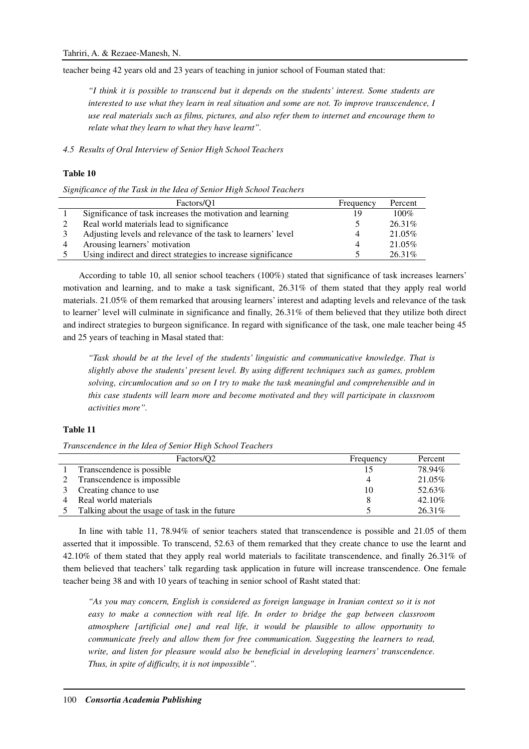teacher being 42 years old and 23 years of teaching in junior school of Fouman stated that:

*"I think it is possible to transcend but it depends on the students' interest. Some students are interested to use what they learn in real situation and some are not. To improve transcendence, I use real materials such as films, pictures, and also refer them to internet and encourage them to relate what they learn to what they have learnt".* 

*4.5 Results of Oral Interview of Senior High School Teachers* 

## **Table 10**

*Significance of the Task in the Idea of Senior High School Teachers* 

| Factors/O1                                                    | Frequency | Percent   |
|---------------------------------------------------------------|-----------|-----------|
| Significance of task increases the motivation and learning    | 1 Q       | $100\%$   |
| Real world materials lead to significance                     |           | $26.31\%$ |
| Adjusting levels and relevance of the task to learners' level |           | 21.05%    |
| Arousing learners' motivation                                 |           | 21.05%    |
| Using indirect and direct strategies to increase significance |           | 26.31\%   |

According to table 10, all senior school teachers (100%) stated that significance of task increases learners' motivation and learning, and to make a task significant, 26.31% of them stated that they apply real world materials. 21.05% of them remarked that arousing learners' interest and adapting levels and relevance of the task to learner' level will culminate in significance and finally, 26.31% of them believed that they utilize both direct and indirect strategies to burgeon significance. In regard with significance of the task, one male teacher being 45 and 25 years of teaching in Masal stated that:

*"Task should be at the level of the students' linguistic and communicative knowledge. That is slightly above the students' present level. By using different techniques such as games, problem solving, circumlocution and so on I try to make the task meaningful and comprehensible and in this case students will learn more and become motivated and they will participate in classroom activities more".* 

## **Table 11**

*Transcendence in the Idea of Senior High School Teachers* 

| Factors/O <sub>2</sub>                        | Frequency | Percent   |
|-----------------------------------------------|-----------|-----------|
| Transcendence is possible                     |           | 78.94%    |
| Transcendence is impossible                   |           | 21.05%    |
| Creating chance to use                        | 10        | 52.63%    |
| Real world materials                          |           | 42.10%    |
| Talking about the usage of task in the future |           | $26.31\%$ |

In line with table 11, 78.94% of senior teachers stated that transcendence is possible and 21.05 of them asserted that it impossible. To transcend, 52.63 of them remarked that they create chance to use the learnt and 42.10% of them stated that they apply real world materials to facilitate transcendence, and finally 26.31% of them believed that teachers' talk regarding task application in future will increase transcendence. One female teacher being 38 and with 10 years of teaching in senior school of Rasht stated that:

*"As you may concern, English is considered as foreign language in Iranian context so it is not easy to make a connection with real life. In order to bridge the gap between classroom atmosphere [artificial one] and real life, it would be plausible to allow opportunity to communicate freely and allow them for free communication. Suggesting the learners to read, write, and listen for pleasure would also be beneficial in developing learners' transcendence. Thus, in spite of difficulty, it is not impossible".*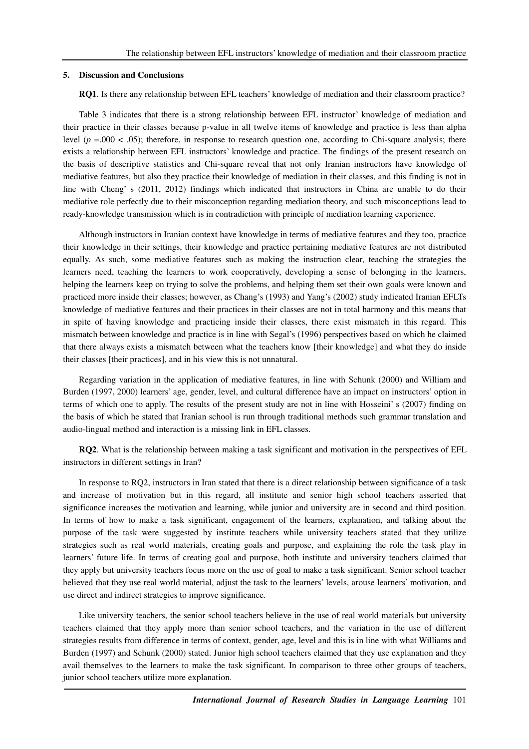#### **5. Discussion and Conclusions**

**RQ1**. Is there any relationship between EFL teachers' knowledge of mediation and their classroom practice?

Table 3 indicates that there is a strong relationship between EFL instructor' knowledge of mediation and their practice in their classes because p-value in all twelve items of knowledge and practice is less than alpha level  $(p = .000 < .05)$ ; therefore, in response to research question one, according to Chi-square analysis; there exists a relationship between EFL instructors' knowledge and practice. The findings of the present research on the basis of descriptive statistics and Chi-square reveal that not only Iranian instructors have knowledge of mediative features, but also they practice their knowledge of mediation in their classes, and this finding is not in line with Cheng' s (2011, 2012) findings which indicated that instructors in China are unable to do their mediative role perfectly due to their misconception regarding mediation theory, and such misconceptions lead to ready-knowledge transmission which is in contradiction with principle of mediation learning experience.

Although instructors in Iranian context have knowledge in terms of mediative features and they too, practice their knowledge in their settings, their knowledge and practice pertaining mediative features are not distributed equally. As such, some mediative features such as making the instruction clear, teaching the strategies the learners need, teaching the learners to work cooperatively, developing a sense of belonging in the learners, helping the learners keep on trying to solve the problems, and helping them set their own goals were known and practiced more inside their classes; however, as Chang's (1993) and Yang's (2002) study indicated Iranian EFLTs knowledge of mediative features and their practices in their classes are not in total harmony and this means that in spite of having knowledge and practicing inside their classes, there exist mismatch in this regard. This mismatch between knowledge and practice is in line with Segal's (1996) perspectives based on which he claimed that there always exists a mismatch between what the teachers know [their knowledge] and what they do inside their classes [their practices], and in his view this is not unnatural.

Regarding variation in the application of mediative features, in line with Schunk (2000) and William and Burden (1997, 2000) learners' age, gender, level, and cultural difference have an impact on instructors' option in terms of which one to apply. The results of the present study are not in line with Hosseini' s (2007) finding on the basis of which he stated that Iranian school is run through traditional methods such grammar translation and audio-lingual method and interaction is a missing link in EFL classes.

**RQ2**. What is the relationship between making a task significant and motivation in the perspectives of EFL instructors in different settings in Iran?

In response to RQ2, instructors in Iran stated that there is a direct relationship between significance of a task and increase of motivation but in this regard, all institute and senior high school teachers asserted that significance increases the motivation and learning, while junior and university are in second and third position. In terms of how to make a task significant, engagement of the learners, explanation, and talking about the purpose of the task were suggested by institute teachers while university teachers stated that they utilize strategies such as real world materials, creating goals and purpose, and explaining the role the task play in learners' future life. In terms of creating goal and purpose, both institute and university teachers claimed that they apply but university teachers focus more on the use of goal to make a task significant. Senior school teacher believed that they use real world material, adjust the task to the learners' levels, arouse learners' motivation, and use direct and indirect strategies to improve significance.

Like university teachers, the senior school teachers believe in the use of real world materials but university teachers claimed that they apply more than senior school teachers, and the variation in the use of different strategies results from difference in terms of context, gender, age, level and this is in line with what Williams and Burden (1997) and Schunk (2000) stated. Junior high school teachers claimed that they use explanation and they avail themselves to the learners to make the task significant. In comparison to three other groups of teachers, junior school teachers utilize more explanation.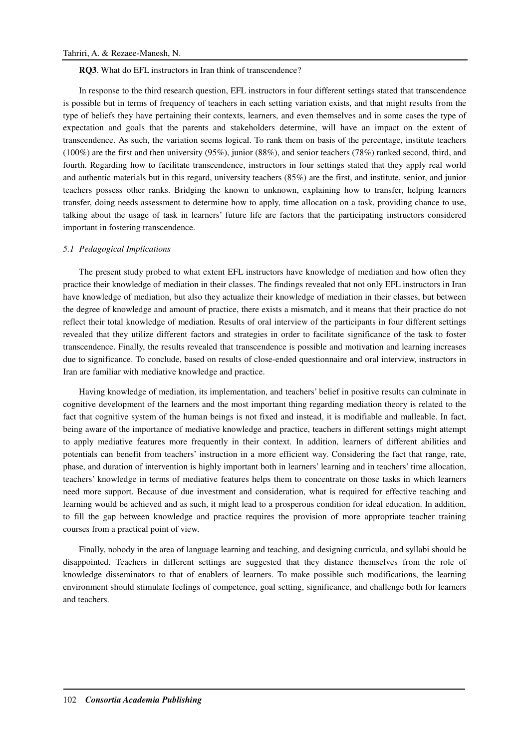**RQ3**. What do EFL instructors in Iran think of transcendence?

In response to the third research question, EFL instructors in four different settings stated that transcendence is possible but in terms of frequency of teachers in each setting variation exists, and that might results from the type of beliefs they have pertaining their contexts, learners, and even themselves and in some cases the type of expectation and goals that the parents and stakeholders determine, will have an impact on the extent of transcendence. As such, the variation seems logical. To rank them on basis of the percentage, institute teachers (100%) are the first and then university (95%), junior (88%), and senior teachers (78%) ranked second, third, and fourth. Regarding how to facilitate transcendence, instructors in four settings stated that they apply real world and authentic materials but in this regard, university teachers (85%) are the first, and institute, senior, and junior teachers possess other ranks. Bridging the known to unknown, explaining how to transfer, helping learners transfer, doing needs assessment to determine how to apply, time allocation on a task, providing chance to use, talking about the usage of task in learners' future life are factors that the participating instructors considered important in fostering transcendence.

#### *5.1 Pedagogical Implications*

The present study probed to what extent EFL instructors have knowledge of mediation and how often they practice their knowledge of mediation in their classes. The findings revealed that not only EFL instructors in Iran have knowledge of mediation, but also they actualize their knowledge of mediation in their classes, but between the degree of knowledge and amount of practice, there exists a mismatch, and it means that their practice do not reflect their total knowledge of mediation. Results of oral interview of the participants in four different settings revealed that they utilize different factors and strategies in order to facilitate significance of the task to foster transcendence. Finally, the results revealed that transcendence is possible and motivation and learning increases due to significance. To conclude, based on results of close-ended questionnaire and oral interview, instructors in Iran are familiar with mediative knowledge and practice.

Having knowledge of mediation, its implementation, and teachers' belief in positive results can culminate in cognitive development of the learners and the most important thing regarding mediation theory is related to the fact that cognitive system of the human beings is not fixed and instead, it is modifiable and malleable. In fact, being aware of the importance of mediative knowledge and practice, teachers in different settings might attempt to apply mediative features more frequently in their context. In addition, learners of different abilities and potentials can benefit from teachers' instruction in a more efficient way. Considering the fact that range, rate, phase, and duration of intervention is highly important both in learners' learning and in teachers' time allocation, teachers' knowledge in terms of mediative features helps them to concentrate on those tasks in which learners need more support. Because of due investment and consideration, what is required for effective teaching and learning would be achieved and as such, it might lead to a prosperous condition for ideal education. In addition, to fill the gap between knowledge and practice requires the provision of more appropriate teacher training courses from a practical point of view.

Finally, nobody in the area of language learning and teaching, and designing curricula, and syllabi should be disappointed. Teachers in different settings are suggested that they distance themselves from the role of knowledge disseminators to that of enablers of learners. To make possible such modifications, the learning environment should stimulate feelings of competence, goal setting, significance, and challenge both for learners and teachers.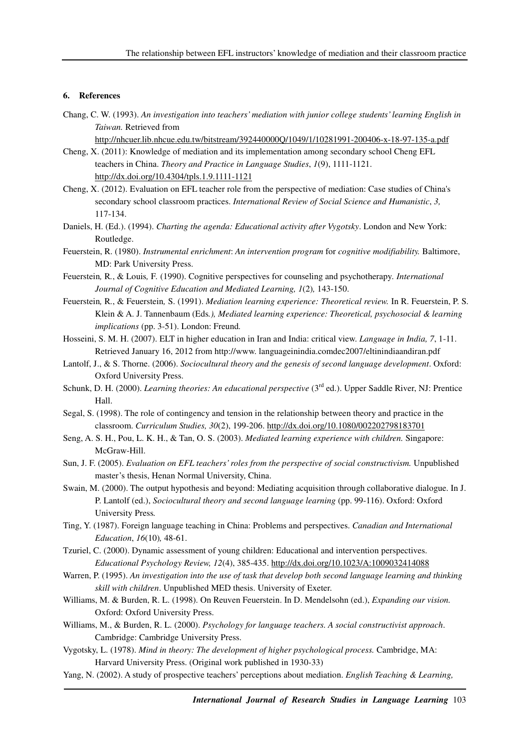# **6. References**

- Chang, C. W. (1993). *An investigation into teachers' mediation with junior college students' learning English in Taiwan.* Retrieved from
	- http://nhcuer.lib.nhcue.edu.tw/bitstream/392440000Q/1049/1/10281991-200406-x-18-97-135-a.pdf
- Cheng, X. (2011): Knowledge of mediation and its implementation among secondary school Cheng EFL teachers in China. *Theory and Practice in Language Studies*, *1*(9), 1111-1121. http://dx.doi.org/10.4304/tpls.1.9.1111-1121
- Cheng, X. (2012). Evaluation on EFL teacher role from the perspective of mediation: Case studies of China's secondary school classroom practices. *International Review of Social Science and Humanistic*, *3,* 117-134.
- Daniels, H. (Ed.). (1994). *Charting the agenda: Educational activity after Vygotsky*. London and New York: Routledge.
- Feuerstein, R. (1980). *Instrumental enrichment*: *An intervention program* for *cognitive modifiability.* Baltimore, MD: Park University Press.
- Feuerstein*,* R*.*, & Louis*,* F*.* (1990). Cognitive perspectives for counseling and psychotherapy*. International Journal of Cognitive Education and Mediated Learning, 1*(2)*,* 143-150.
- Feuerstein*,* R*.*, & Feuerstein*,* S. (1991). *Mediation learning experience: Theoretical review.* In R. Feuerstein, P. S. Klein & A. J. Tannenbaum (Eds*.), Mediated learning experience: Theoretical, psychosocial & learning implications* (pp. 3-51). London: Freund*.*
- Hosseini, S. M. H. (2007). ELT in higher education in Iran and India: critical view. *Language in India, 7*, 1-11. Retrieved January 16, 2012 from http://www. languageinindia.comdec2007/eltinindiaandiran.pdf
- Lantolf, J., & S. Thorne. (2006). *Sociocultural theory and the genesis of second language development*. Oxford: Oxford University Press.
- Schunk, D. H. (2000). *Learning theories: An educational perspective* (3<sup>rd</sup> ed.). Upper Saddle River, NJ: Prentice Hall.
- Segal, S. (1998). The role of contingency and tension in the relationship between theory and practice in the classroom. *Curriculum Studies, 30*(2), 199-206. http://dx.doi.org/10.1080/002202798183701
- Seng, A. S. H., Pou, L. K. H., & Tan, O. S. (2003). *Mediated learning experience with children.* Singapore: McGraw-Hill.
- Sun, J. F. (2005). *Evaluation on EFL teachers' roles from the perspective of social constructivism.* Unpublished master's thesis, Henan Normal University, China.
- Swain, M. (2000). The output hypothesis and beyond: Mediating acquisition through collaborative dialogue. In J. P. Lantolf (ed.), *Sociocultural theory and second language learning* (pp. 99-116). Oxford: Oxford University Press*.*
- Ting, Y. (1987). Foreign language teaching in China: Problems and perspectives. *Canadian and International Education*, *16*(10)*,* 48-61.
- Tzuriel, C. (2000). Dynamic assessment of young children: Educational and intervention perspectives. *Educational Psychology Review, 12*(4), 385-435. http://dx.doi.org/10.1023/A:1009032414088
- Warren, P. (1995). *An investigation into the use of task that develop both second language learning and thinking skill with children*. Unpublished MED thesis. University of Exeter.
- Williams, M. & Burden, R. L. (1998). On Reuven Feuerstein. In D. Mendelsohn (ed.), *Expanding our vision.*  Oxford: Oxford University Press.
- Williams, M., & Burden, R. L. (2000). *Psychology for language teachers. A social constructivist approach*. Cambridge: Cambridge University Press.
- Vygotsky, L. (1978). *Mind in theory: The development of higher psychological process.* Cambridge, MA: Harvard University Press. (Original work published in 1930-33)
- Yang, N. (2002). A study of prospective teachers' perceptions about mediation. *English Teaching & Learning,*